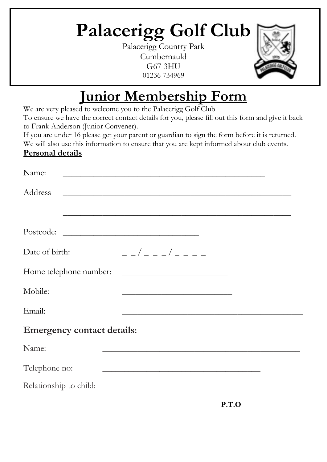# **Palacerigg Golf Club**

Palacerigg Country Park Cumbernauld G67 3HU 01236 734969



# **Junior Membership Form**

We are very pleased to welcome you to the Palacerigg Golf Club

To ensure we have the correct contact details for you, please fill out this form and give it back to Frank Anderson (Junior Convener).

If you are under 16 please get your parent or guardian to sign the form before it is returned. We will also use this information to ensure that you are kept informed about club events.

#### **Personal details**

| Name:                             |                                                                                                                      |  |
|-----------------------------------|----------------------------------------------------------------------------------------------------------------------|--|
| Address                           | <u> 1989 - Jan James James James James James James James James James James James James James James James James J</u> |  |
|                                   |                                                                                                                      |  |
| Date of birth:                    | _ _ / _ _ _/ _ _ _ _                                                                                                 |  |
| Home telephone number:            |                                                                                                                      |  |
| Mobile:                           | <u> 1989 - Johann Barbara, martxa alemaniar amerikan a</u>                                                           |  |
| Email:                            |                                                                                                                      |  |
| <b>Emergency contact details:</b> |                                                                                                                      |  |
| Name:                             | <u> 1989 - Johann John Stoff, deutscher Stoffen und der Stoffen und der Stoffen und der Stoffen und der Stoffen</u>  |  |
| Telephone no:                     | <u> 1989 - Johann John Stone, mars and de British and de British and de British and de British and de British an</u> |  |
|                                   |                                                                                                                      |  |

**P.T.O**